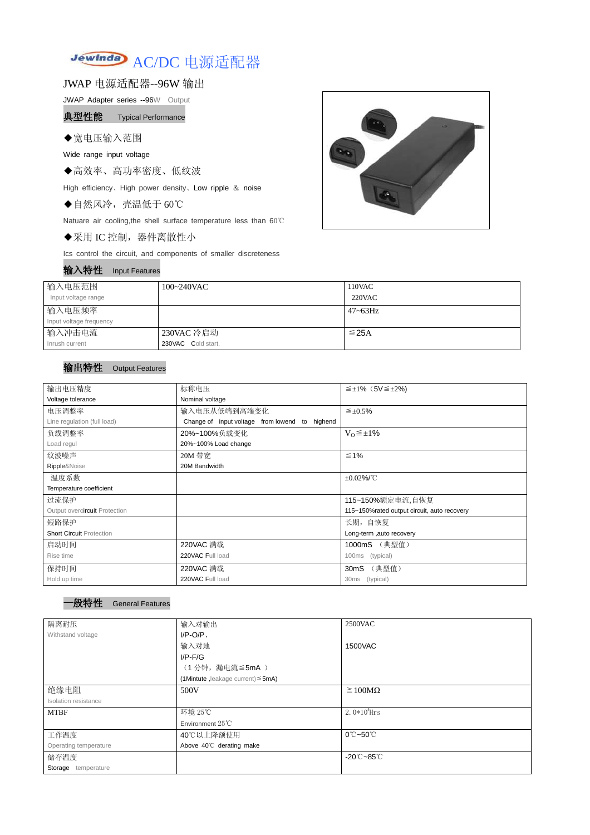

JWAP 电源适配器--96W 输出

JWAP Adapter series --96W Output

典型性能 Typical Performance

## ◆宽电压输入范围

Wide range input voltage

◆高效率、高功率密度、低纹波

High efficiency、High power density、Low ripple & noise

◆自然风冷,壳温低于 60℃

Natuare air cooling,the shell surface temperature less than 60℃

◆采用 IC 控制,器件离散性小

Ics control the circuit, and components of smaller discreteness

## 输入特性 Input Features



| 输入电压范围<br>Input voltage range | $100 - 240$ VAC    | 110VAC<br>$220$ VAC |
|-------------------------------|--------------------|---------------------|
| 输入电压频率                        |                    | $47 - 63$ Hz        |
| Input voltage frequency       |                    |                     |
| 输入冲击电流                        | 230VAC 冷启动         | $\leq$ 25A          |
| Inrush current                | 230VAC Cold start, |                     |

## 输出特性 Output Features

## 一般特性 General Features

| 输出电压精度                          | 标称电压<br>$\leq \pm 1\%$ (5V $\leq \pm 2\%$ )    |                                             |  |  |
|---------------------------------|------------------------------------------------|---------------------------------------------|--|--|
| Voltage tolerance               | Nominal voltage                                |                                             |  |  |
| 电压调整率                           | 输入电压从低端到高端变化                                   | $\leq \pm 0.5\%$                            |  |  |
| Line regulation (full load)     | Change of input voltage from lowend to highend |                                             |  |  |
| 负载调整率                           | 20%~100%负载变化                                   | $V_0 \leq \pm 1\%$                          |  |  |
| Load regul                      | 20%~100% Load change                           |                                             |  |  |
| 纹波噪声                            | 20M 带宽                                         | $\leq 1\%$                                  |  |  |
| Ripple&Noise                    | 20M Bandwidth                                  |                                             |  |  |
| 温度系数                            |                                                | $±0.02\%$ /°C                               |  |  |
| Temperature coefficient         |                                                |                                             |  |  |
| 过流保护                            |                                                | 115~150%额定电流,自恢复                            |  |  |
| Output overcircuit Protection   |                                                | 115~150%rated output circuit, auto recovery |  |  |
| 短路保护                            | 长期, 自恢复                                        |                                             |  |  |
| <b>Short Circuit Protection</b> |                                                | Long-term ,auto recovery                    |  |  |
| 启动时间                            | 220VAC 满载                                      | 1000mS (典型值)                                |  |  |
| Rise time                       | 220VAC Full load<br>(typical)<br>100ms         |                                             |  |  |
| 保持时间                            | 220VAC 满载<br>30mS (典型值)                        |                                             |  |  |
| Hold up time                    | 220VAC Full load<br>30ms (typical)             |                                             |  |  |

| 隔离耐压                        | 输入对输出<br><b>2500VAC</b>                 |                                  |
|-----------------------------|-----------------------------------------|----------------------------------|
| Withstand voltage           | $I/P-O/P$                               |                                  |
|                             | 输入对地                                    | 1500VAC                          |
|                             | $I/P$ - $F/G$                           |                                  |
|                             | (1分钟, 漏电流 ≦ 5mA)                        |                                  |
|                             | (1Mintute, leakage current) $\leq$ 5mA) |                                  |
| 绝缘电阻                        | 500V                                    | $\geq 100M\Omega$                |
| <b>Isolation resistance</b> |                                         |                                  |
| <b>MTBF</b>                 | 环境 25℃                                  | 2.0 $*10^5$ Hrs                  |
|                             | Environment $25^{\circ}$ C              |                                  |
| 工作温度                        | 40℃以上降额使用                               | $0^\circ$ C $\sim$ 50 $^\circ$ C |
| Operating temperature       | Above 40°C derating make                |                                  |
| 储存温度                        |                                         | $-20^{\circ}$ C $-85^{\circ}$ C  |
| Storage<br>temperature      |                                         |                                  |